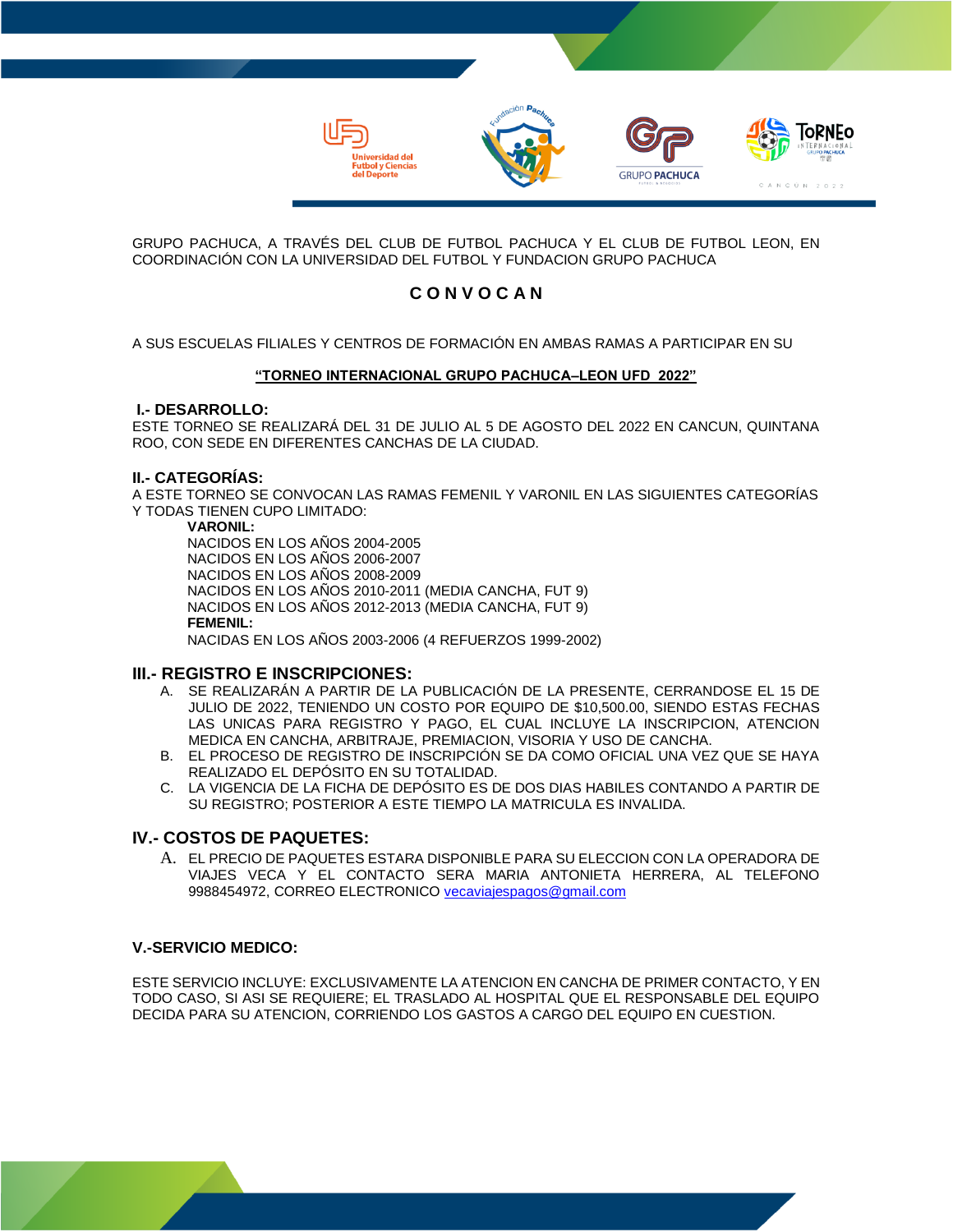

GRUPO PACHUCA, A TRAVÉS DEL CLUB DE FUTBOL PACHUCA Y EL CLUB DE FUTBOL LEON, EN COORDINACIÓN CON LA UNIVERSIDAD DEL FUTBOL Y FUNDACION GRUPO PACHUCA

# **C O N V O C A N**

A SUS ESCUELAS FILIALES Y CENTROS DE FORMACIÓN EN AMBAS RAMAS A PARTICIPAR EN SU

#### **"TORNEO INTERNACIONAL GRUPO PACHUCA–LEON UFD 2022"**

#### **I.- DESARROLLO:**

ESTE TORNEO SE REALIZARÁ DEL 31 DE JULIO AL 5 DE AGOSTO DEL 2022 EN CANCUN, QUINTANA ROO, CON SEDE EN DIFERENTES CANCHAS DE LA CIUDAD.

#### **II.- CATEGORÍAS:**

A ESTE TORNEO SE CONVOCAN LAS RAMAS FEMENIL Y VARONIL EN LAS SIGUIENTES CATEGORÍAS Y TODAS TIENEN CUPO LIMITADO:

#### **VARONIL:**

NACIDOS EN LOS AÑOS 2004-2005 NACIDOS EN LOS AÑOS 2006-2007 NACIDOS EN LOS AÑOS 2008-2009 NACIDOS EN LOS AÑOS 2010-2011 (MEDIA CANCHA, FUT 9) NACIDOS EN LOS AÑOS 2012-2013 (MEDIA CANCHA, FUT 9) **FEMENIL:**  NACIDAS EN LOS AÑOS 2003-2006 (4 REFUERZOS 1999-2002)

## **III.- REGISTRO E INSCRIPCIONES:**

- A. SE REALIZARÁN A PARTIR DE LA PUBLICACIÓN DE LA PRESENTE, CERRANDOSE EL 15 DE JULIO DE 2022, TENIENDO UN COSTO POR EQUIPO DE \$10,500.00, SIENDO ESTAS FECHAS LAS UNICAS PARA REGISTRO Y PAGO, EL CUAL INCLUYE LA INSCRIPCION, ATENCION MEDICA EN CANCHA, ARBITRAJE, PREMIACION, VISORIA Y USO DE CANCHA.
- B. EL PROCESO DE REGISTRO DE INSCRIPCIÓN SE DA COMO OFICIAL UNA VEZ QUE SE HAYA REALIZADO EL DEPÓSITO EN SU TOTALIDAD.
- C. LA VIGENCIA DE LA FICHA DE DEPÓSITO ES DE DOS DIAS HABILES CONTANDO A PARTIR DE SU REGISTRO; POSTERIOR A ESTE TIEMPO LA MATRICULA ES INVALIDA.

# **IV.- COSTOS DE PAQUETES:**

A. EL PRECIO DE PAQUETES ESTARA DISPONIBLE PARA SU ELECCION CON LA OPERADORA DE VIAJES VECA Y EL CONTACTO SERA MARIA ANTONIETA HERRERA, AL TELEFONO 9988454972, CORREO ELECTRONICO [vecaviajespagos@gmail.com](mailto:VECAVIAJESPAGOS@gmail.com)

## **V.-SERVICIO MEDICO:**

ESTE SERVICIO INCLUYE: EXCLUSIVAMENTE LA ATENCION EN CANCHA DE PRIMER CONTACTO, Y EN TODO CASO, SI ASI SE REQUIERE; EL TRASLADO AL HOSPITAL QUE EL RESPONSABLE DEL EQUIPO DECIDA PARA SU ATENCION, CORRIENDO LOS GASTOS A CARGO DEL EQUIPO EN CUESTION.